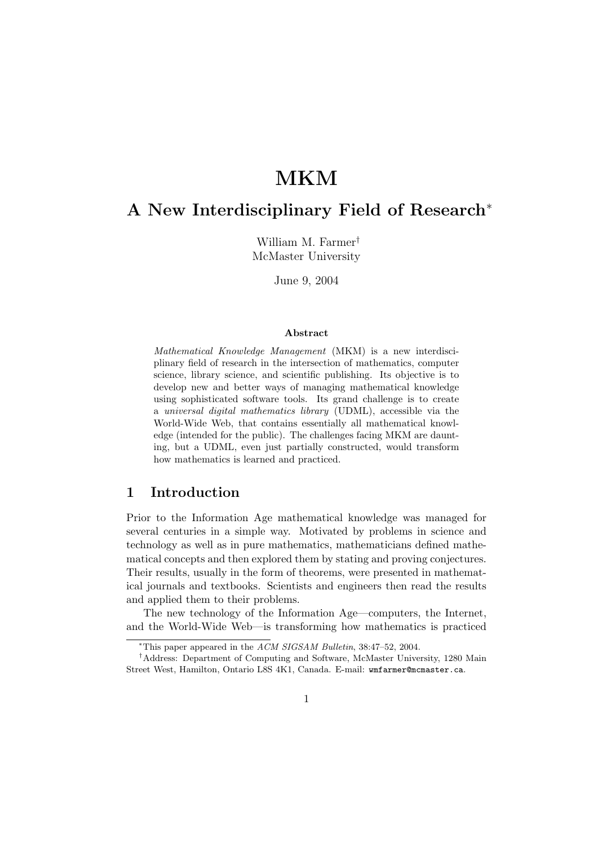# **MKM**

# A New Interdisciplinary Field of Research<sup>∗</sup>

William M. Farmer† McMaster University

June 9, 2004

#### Abstract

Mathematical Knowledge Management (MKM) is a new interdisciplinary field of research in the intersection of mathematics, computer science, library science, and scientific publishing. Its objective is to develop new and better ways of managing mathematical knowledge using sophisticated software tools. Its grand challenge is to create a universal digital mathematics library (UDML), accessible via the World-Wide Web, that contains essentially all mathematical knowledge (intended for the public). The challenges facing MKM are daunting, but a UDML, even just partially constructed, would transform how mathematics is learned and practiced.

# 1 Introduction

Prior to the Information Age mathematical knowledge was managed for several centuries in a simple way. Motivated by problems in science and technology as well as in pure mathematics, mathematicians defined mathematical concepts and then explored them by stating and proving conjectures. Their results, usually in the form of theorems, were presented in mathematical journals and textbooks. Scientists and engineers then read the results and applied them to their problems.

The new technology of the Information Age—computers, the Internet, and the World-Wide Web—is transforming how mathematics is practiced

<sup>\*</sup>This paper appeared in the ACM SIGSAM Bulletin,  $38:47-52$ , 2004.

<sup>†</sup>Address: Department of Computing and Software, McMaster University, 1280 Main Street West, Hamilton, Ontario L8S 4K1, Canada. E-mail: wmfarmer@mcmaster.ca.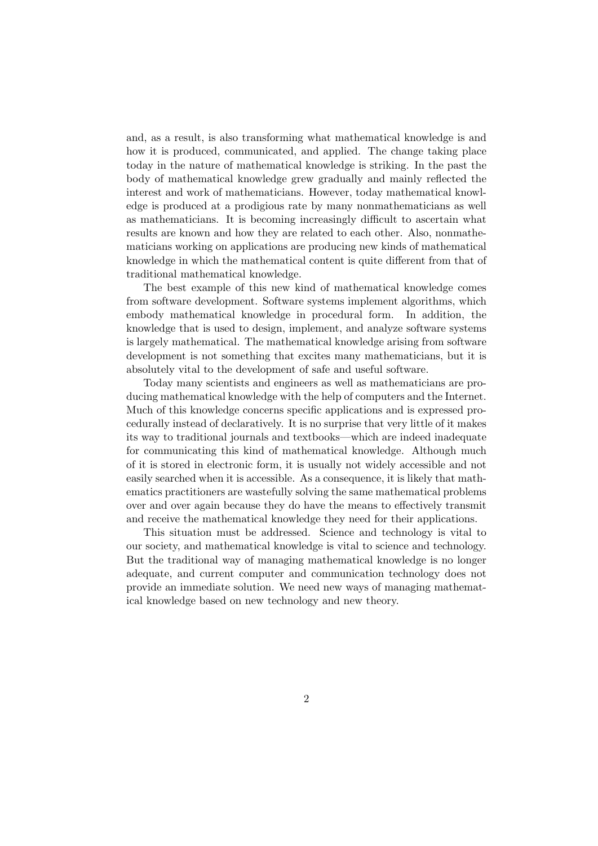and, as a result, is also transforming what mathematical knowledge is and how it is produced, communicated, and applied. The change taking place today in the nature of mathematical knowledge is striking. In the past the body of mathematical knowledge grew gradually and mainly reflected the interest and work of mathematicians. However, today mathematical knowledge is produced at a prodigious rate by many nonmathematicians as well as mathematicians. It is becoming increasingly difficult to ascertain what results are known and how they are related to each other. Also, nonmathematicians working on applications are producing new kinds of mathematical knowledge in which the mathematical content is quite different from that of traditional mathematical knowledge.

The best example of this new kind of mathematical knowledge comes from software development. Software systems implement algorithms, which embody mathematical knowledge in procedural form. In addition, the knowledge that is used to design, implement, and analyze software systems is largely mathematical. The mathematical knowledge arising from software development is not something that excites many mathematicians, but it is absolutely vital to the development of safe and useful software.

Today many scientists and engineers as well as mathematicians are producing mathematical knowledge with the help of computers and the Internet. Much of this knowledge concerns specific applications and is expressed procedurally instead of declaratively. It is no surprise that very little of it makes its way to traditional journals and textbooks—which are indeed inadequate for communicating this kind of mathematical knowledge. Although much of it is stored in electronic form, it is usually not widely accessible and not easily searched when it is accessible. As a consequence, it is likely that mathematics practitioners are wastefully solving the same mathematical problems over and over again because they do have the means to effectively transmit and receive the mathematical knowledge they need for their applications.

This situation must be addressed. Science and technology is vital to our society, and mathematical knowledge is vital to science and technology. But the traditional way of managing mathematical knowledge is no longer adequate, and current computer and communication technology does not provide an immediate solution. We need new ways of managing mathematical knowledge based on new technology and new theory.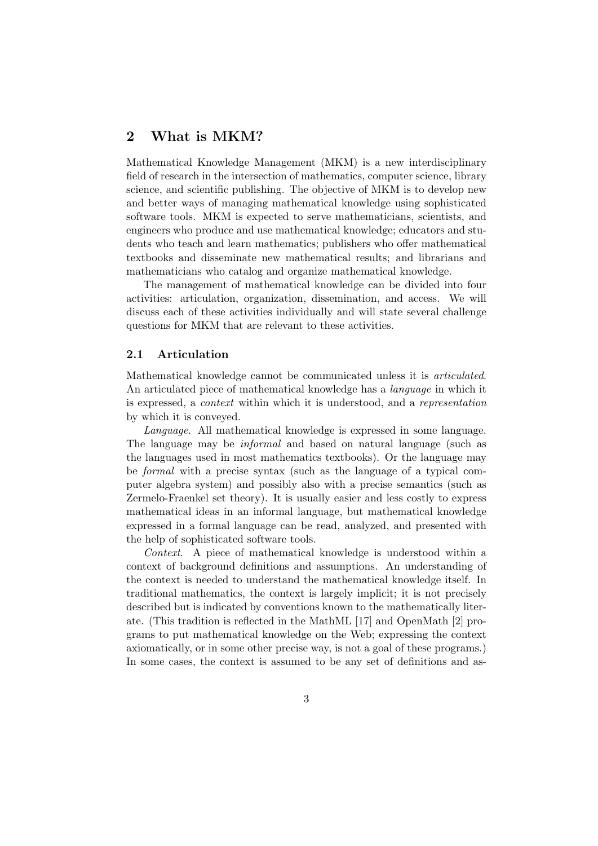# 2 What is MKM?

Mathematical Knowledge Management (MKM) is a new interdisciplinary field of research in the intersection of mathematics, computer science, library science, and scientific publishing. The objective of MKM is to develop new and better ways of managing mathematical knowledge using sophisticated software tools. MKM is expected to serve mathematicians, scientists, and engineers who produce and use mathematical knowledge; educators and students who teach and learn mathematics; publishers who offer mathematical textbooks and disseminate new mathematical results; and librarians and mathematicians who catalog and organize mathematical knowledge.

The management of mathematical knowledge can be divided into four activities: articulation, organization, dissemination, and access. We will discuss each of these activities individually and will state several challenge questions for MKM that are relevant to these activities.

#### 2.1 Articulation

Mathematical knowledge cannot be communicated unless it is articulated. An articulated piece of mathematical knowledge has a language in which it is expressed, a context within which it is understood, and a representation by which it is conveyed.

Language. All mathematical knowledge is expressed in some language. The language may be informal and based on natural language (such as the languages used in most mathematics textbooks). Or the language may be formal with a precise syntax (such as the language of a typical computer algebra system) and possibly also with a precise semantics (such as Zermelo-Fraenkel set theory). It is usually easier and less costly to express mathematical ideas in an informal language, but mathematical knowledge expressed in a formal language can be read, analyzed, and presented with the help of sophisticated software tools.

Context. A piece of mathematical knowledge is understood within a context of background definitions and assumptions. An understanding of the context is needed to understand the mathematical knowledge itself. In traditional mathematics, the context is largely implicit; it is not precisely described but is indicated by conventions known to the mathematically literate. (This tradition is reflected in the MathML [17] and OpenMath [2] programs to put mathematical knowledge on the Web; expressing the context axiomatically, or in some other precise way, is not a goal of these programs.) In some cases, the context is assumed to be any set of definitions and as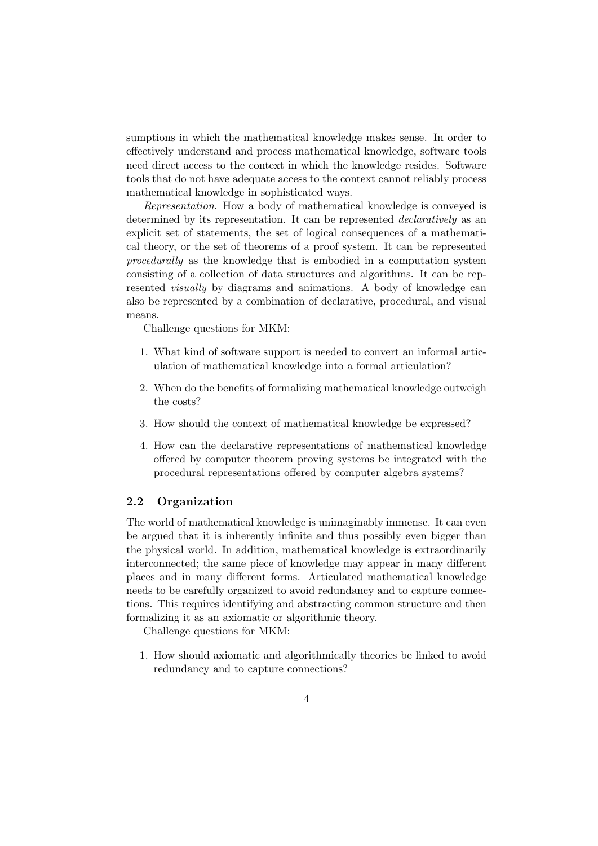sumptions in which the mathematical knowledge makes sense. In order to effectively understand and process mathematical knowledge, software tools need direct access to the context in which the knowledge resides. Software tools that do not have adequate access to the context cannot reliably process mathematical knowledge in sophisticated ways.

Representation. How a body of mathematical knowledge is conveyed is determined by its representation. It can be represented declaratively as an explicit set of statements, the set of logical consequences of a mathematical theory, or the set of theorems of a proof system. It can be represented procedurally as the knowledge that is embodied in a computation system consisting of a collection of data structures and algorithms. It can be represented visually by diagrams and animations. A body of knowledge can also be represented by a combination of declarative, procedural, and visual means.

Challenge questions for MKM:

- 1. What kind of software support is needed to convert an informal articulation of mathematical knowledge into a formal articulation?
- 2. When do the benefits of formalizing mathematical knowledge outweigh the costs?
- 3. How should the context of mathematical knowledge be expressed?
- 4. How can the declarative representations of mathematical knowledge offered by computer theorem proving systems be integrated with the procedural representations offered by computer algebra systems?

#### 2.2 Organization

The world of mathematical knowledge is unimaginably immense. It can even be argued that it is inherently infinite and thus possibly even bigger than the physical world. In addition, mathematical knowledge is extraordinarily interconnected; the same piece of knowledge may appear in many different places and in many different forms. Articulated mathematical knowledge needs to be carefully organized to avoid redundancy and to capture connections. This requires identifying and abstracting common structure and then formalizing it as an axiomatic or algorithmic theory.

Challenge questions for MKM:

1. How should axiomatic and algorithmically theories be linked to avoid redundancy and to capture connections?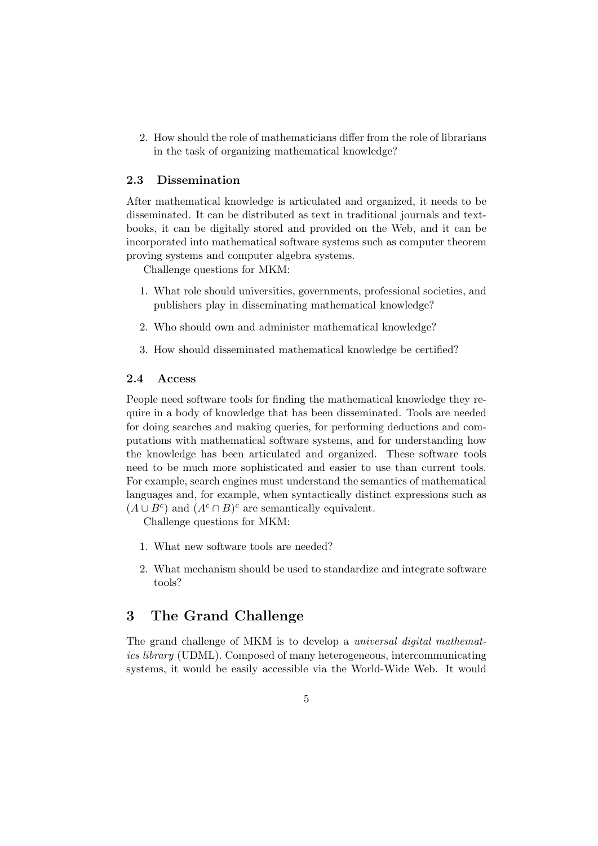2. How should the role of mathematicians differ from the role of librarians in the task of organizing mathematical knowledge?

### 2.3 Dissemination

After mathematical knowledge is articulated and organized, it needs to be disseminated. It can be distributed as text in traditional journals and textbooks, it can be digitally stored and provided on the Web, and it can be incorporated into mathematical software systems such as computer theorem proving systems and computer algebra systems.

Challenge questions for MKM:

- 1. What role should universities, governments, professional societies, and publishers play in disseminating mathematical knowledge?
- 2. Who should own and administer mathematical knowledge?
- 3. How should disseminated mathematical knowledge be certified?

#### 2.4 Access

People need software tools for finding the mathematical knowledge they require in a body of knowledge that has been disseminated. Tools are needed for doing searches and making queries, for performing deductions and computations with mathematical software systems, and for understanding how the knowledge has been articulated and organized. These software tools need to be much more sophisticated and easier to use than current tools. For example, search engines must understand the semantics of mathematical languages and, for example, when syntactically distinct expressions such as  $(A \cup B^c)$  and  $(A^c \cap B)^c$  are semantically equivalent.

Challenge questions for MKM:

- 1. What new software tools are needed?
- 2. What mechanism should be used to standardize and integrate software tools?

# 3 The Grand Challenge

The grand challenge of MKM is to develop a universal digital mathematics library (UDML). Composed of many heterogeneous, intercommunicating systems, it would be easily accessible via the World-Wide Web. It would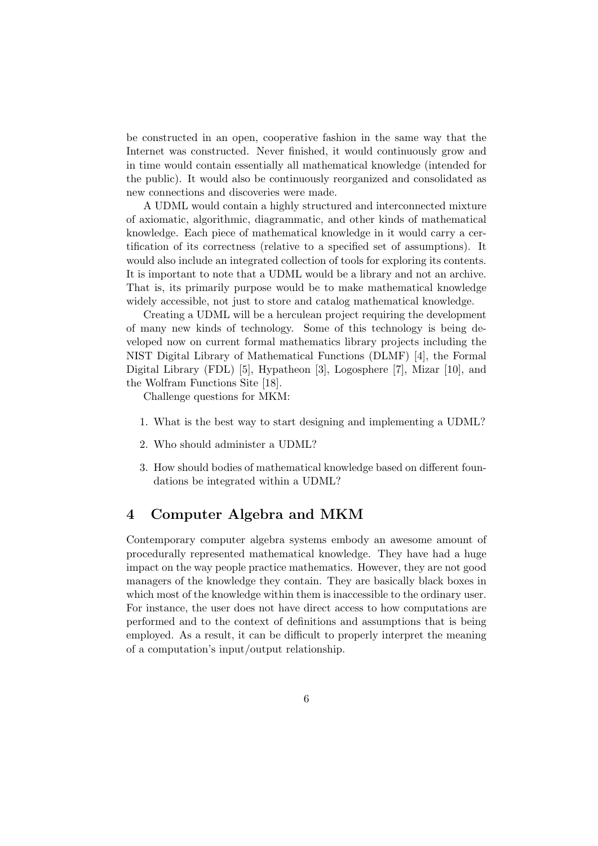be constructed in an open, cooperative fashion in the same way that the Internet was constructed. Never finished, it would continuously grow and in time would contain essentially all mathematical knowledge (intended for the public). It would also be continuously reorganized and consolidated as new connections and discoveries were made.

A UDML would contain a highly structured and interconnected mixture of axiomatic, algorithmic, diagrammatic, and other kinds of mathematical knowledge. Each piece of mathematical knowledge in it would carry a certification of its correctness (relative to a specified set of assumptions). It would also include an integrated collection of tools for exploring its contents. It is important to note that a UDML would be a library and not an archive. That is, its primarily purpose would be to make mathematical knowledge widely accessible, not just to store and catalog mathematical knowledge.

Creating a UDML will be a herculean project requiring the development of many new kinds of technology. Some of this technology is being developed now on current formal mathematics library projects including the NIST Digital Library of Mathematical Functions (DLMF) [4], the Formal Digital Library (FDL) [5], Hypatheon [3], Logosphere [7], Mizar [10], and the Wolfram Functions Site [18].

Challenge questions for MKM:

- 1. What is the best way to start designing and implementing a UDML?
- 2. Who should administer a UDML?
- 3. How should bodies of mathematical knowledge based on different foundations be integrated within a UDML?

# 4 Computer Algebra and MKM

Contemporary computer algebra systems embody an awesome amount of procedurally represented mathematical knowledge. They have had a huge impact on the way people practice mathematics. However, they are not good managers of the knowledge they contain. They are basically black boxes in which most of the knowledge within them is inaccessible to the ordinary user. For instance, the user does not have direct access to how computations are performed and to the context of definitions and assumptions that is being employed. As a result, it can be difficult to properly interpret the meaning of a computation's input/output relationship.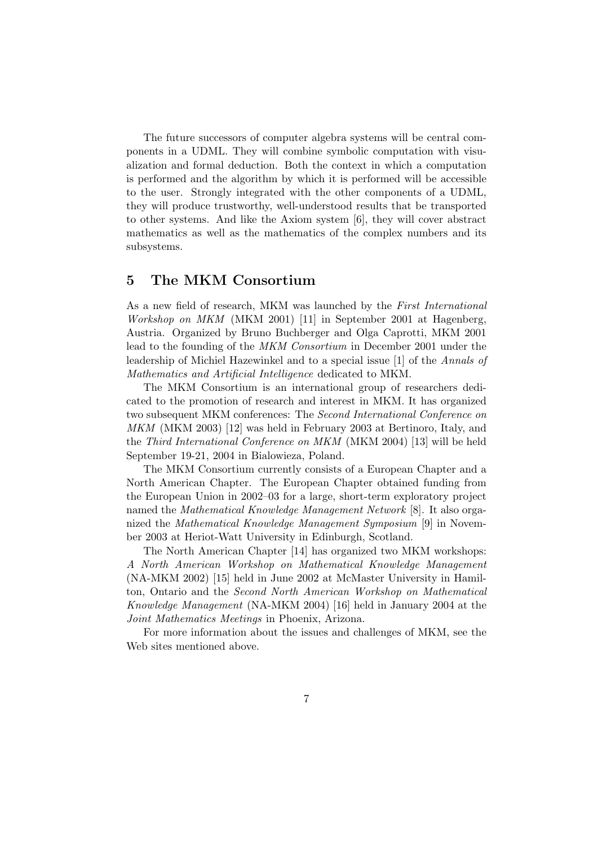The future successors of computer algebra systems will be central components in a UDML. They will combine symbolic computation with visualization and formal deduction. Both the context in which a computation is performed and the algorithm by which it is performed will be accessible to the user. Strongly integrated with the other components of a UDML, they will produce trustworthy, well-understood results that be transported to other systems. And like the Axiom system [6], they will cover abstract mathematics as well as the mathematics of the complex numbers and its subsystems.

# 5 The MKM Consortium

As a new field of research, MKM was launched by the First International Workshop on MKM (MKM 2001) [11] in September 2001 at Hagenberg, Austria. Organized by Bruno Buchberger and Olga Caprotti, MKM 2001 lead to the founding of the MKM Consortium in December 2001 under the leadership of Michiel Hazewinkel and to a special issue [1] of the Annals of Mathematics and Artificial Intelligence dedicated to MKM.

The MKM Consortium is an international group of researchers dedicated to the promotion of research and interest in MKM. It has organized two subsequent MKM conferences: The Second International Conference on MKM (MKM 2003) [12] was held in February 2003 at Bertinoro, Italy, and the Third International Conference on MKM (MKM 2004) [13] will be held September 19-21, 2004 in Bialowieza, Poland.

The MKM Consortium currently consists of a European Chapter and a North American Chapter. The European Chapter obtained funding from the European Union in 2002–03 for a large, short-term exploratory project named the Mathematical Knowledge Management Network [8]. It also organized the Mathematical Knowledge Management Symposium [9] in November 2003 at Heriot-Watt University in Edinburgh, Scotland.

The North American Chapter [14] has organized two MKM workshops: A North American Workshop on Mathematical Knowledge Management (NA-MKM 2002) [15] held in June 2002 at McMaster University in Hamilton, Ontario and the Second North American Workshop on Mathematical Knowledge Management (NA-MKM 2004) [16] held in January 2004 at the Joint Mathematics Meetings in Phoenix, Arizona.

For more information about the issues and challenges of MKM, see the Web sites mentioned above.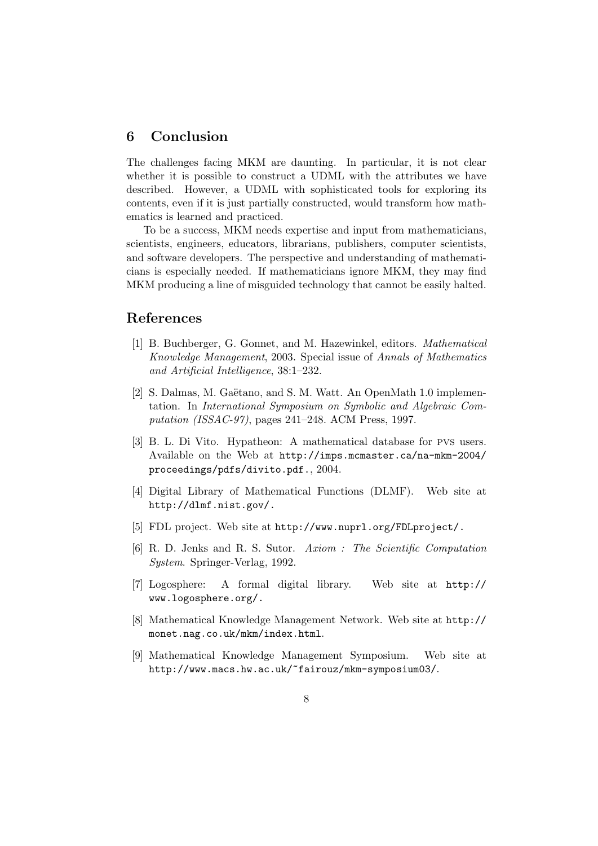# 6 Conclusion

The challenges facing MKM are daunting. In particular, it is not clear whether it is possible to construct a UDML with the attributes we have described. However, a UDML with sophisticated tools for exploring its contents, even if it is just partially constructed, would transform how mathematics is learned and practiced.

To be a success, MKM needs expertise and input from mathematicians, scientists, engineers, educators, librarians, publishers, computer scientists, and software developers. The perspective and understanding of mathematicians is especially needed. If mathematicians ignore MKM, they may find MKM producing a line of misguided technology that cannot be easily halted.

# References

- [1] B. Buchberger, G. Gonnet, and M. Hazewinkel, editors. Mathematical Knowledge Management, 2003. Special issue of Annals of Mathematics and Artificial Intelligence, 38:1–232.
- [2] S. Dalmas, M. Gaëtano, and S. M. Watt. An OpenMath 1.0 implementation. In International Symposium on Symbolic and Algebraic Computation (ISSAC-97), pages 241–248. ACM Press, 1997.
- [3] B. L. Di Vito. Hypatheon: A mathematical database for pvs users. Available on the Web at http://imps.mcmaster.ca/na-mkm-2004/ proceedings/pdfs/divito.pdf., 2004.
- [4] Digital Library of Mathematical Functions (DLMF). Web site at http://dlmf.nist.gov/.
- [5] FDL project. Web site at http://www.nuprl.org/FDLproject/.
- [6] R. D. Jenks and R. S. Sutor. Axiom : The Scientific Computation System. Springer-Verlag, 1992.
- [7] Logosphere: A formal digital library. Web site at http:// www.logosphere.org/.
- [8] Mathematical Knowledge Management Network. Web site at http:// monet.nag.co.uk/mkm/index.html.
- [9] Mathematical Knowledge Management Symposium. Web site at http://www.macs.hw.ac.uk/~fairouz/mkm-symposium03/.